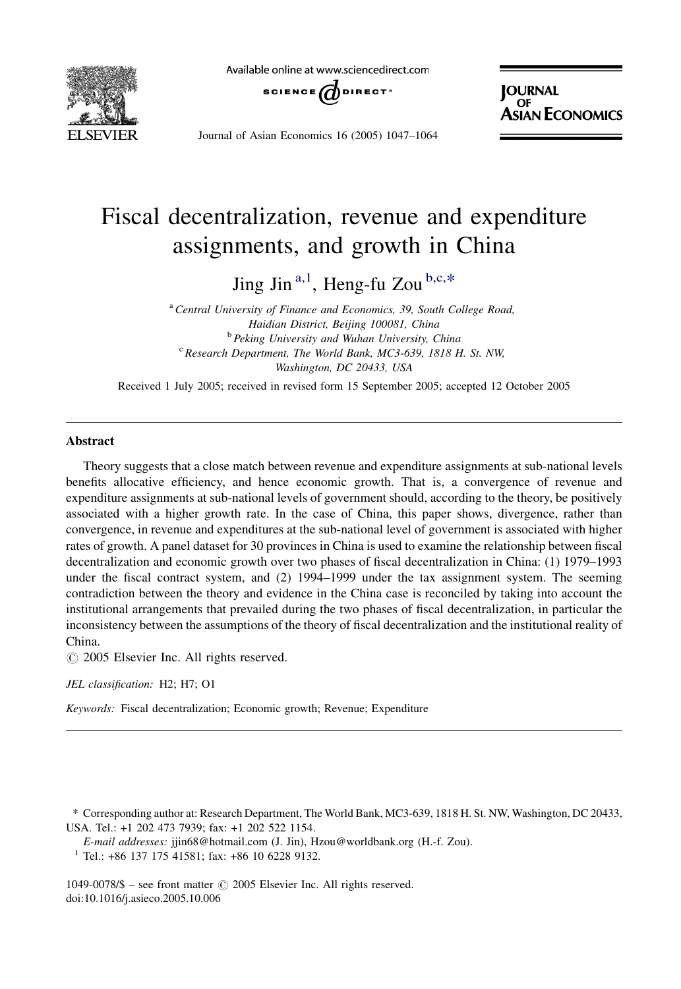

Available online at www.sciencedirect.com



Journal of Asian Economics 16 (2005) 1047–1064

**JOURNAL OF** sian Economics

## Fiscal decentralization, revenue and expenditure assignments, and growth in China

Jing Jin<sup>a,1</sup>, Heng-fu Zou<sup>b,c,\*</sup>

<sup>a</sup> Central University of Finance and Economics, 39, South College Road, Haidian District, Beijing 100081, China <sup>b</sup> Peking University and Wuhan University, China  $c$  Research Department, The World Bank, MC3-639, 1818 H. St. NW, Washington, DC 20433, USA

Received 1 July 2005; received in revised form 15 September 2005; accepted 12 October 2005

## Abstract

Theory suggests that a close match between revenue and expenditure assignments at sub-national levels benefits allocative efficiency, and hence economic growth. That is, a convergence of revenue and expenditure assignments at sub-national levels of government should, according to the theory, be positively associated with a higher growth rate. In the case of China, this paper shows, divergence, rather than convergence, in revenue and expenditures at the sub-national level of government is associated with higher rates of growth. A panel dataset for 30 provinces in China is used to examine the relationship between fiscal decentralization and economic growth over two phases of fiscal decentralization in China: (1) 1979–1993 under the fiscal contract system, and (2) 1994–1999 under the tax assignment system. The seeming contradiction between the theory and evidence in the China case is reconciled by taking into account the institutional arrangements that prevailed during the two phases of fiscal decentralization, in particular the inconsistency between the assumptions of the theory of fiscal decentralization and the institutional reality of China.

 $\odot$  2005 Elsevier Inc. All rights reserved.

JEL classification: H2; H7; O1

Keywords: Fiscal decentralization; Economic growth; Revenue; Expenditure

\* Corresponding author at: Research Department, The World Bank, MC3-639, 1818 H. St. NW, Washington, DC 20433, USA. Tel.: +1 202 473 7939; fax: +1 202 522 1154.

E-mail addresses: jjin68@hotmail.com (J. Jin), Hzou@worldbank.org (H.-f. Zou).

<sup>1</sup> Tel.: +86 137 175 41581; fax: +86 10 6228 9132.

1049-0078/\$ – see front matter  $\odot$  2005 Elsevier Inc. All rights reserved. doi:10.1016/j.asieco.2005.10.006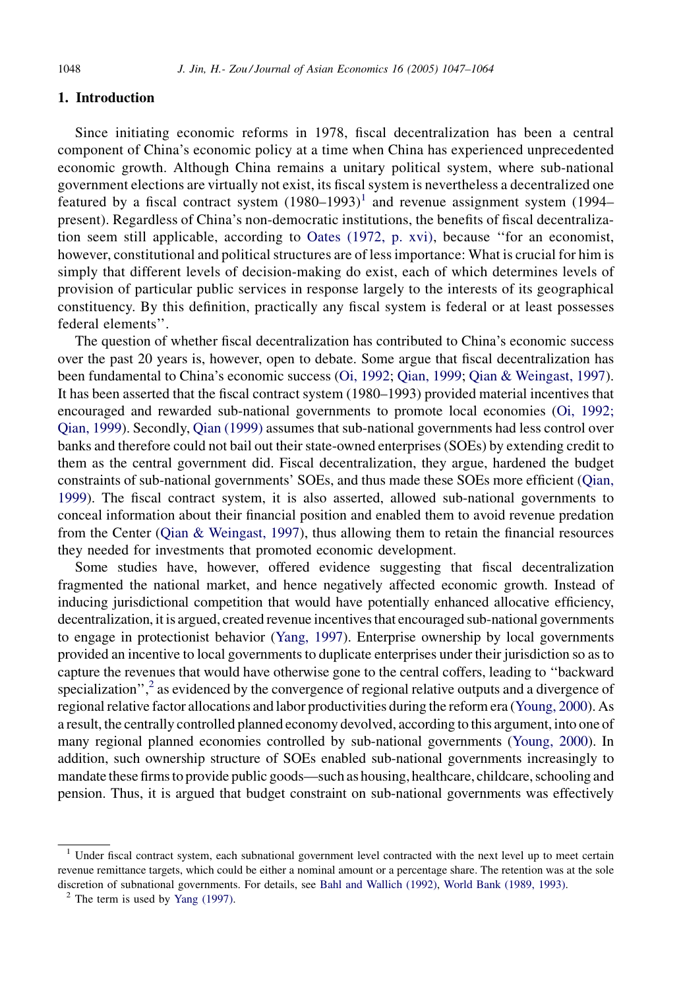## 1. Introduction

Since initiating economic reforms in 1978, fiscal decentralization has been a central component of China's economic policy at a time when China has experienced unprecedented economic growth. Although China remains a unitary political system, where sub-national government elections are virtually not exist, its fiscal system is nevertheless a decentralized one featured by a fiscal contract system  $(1980-1993)^{1}$  and revenue assignment system (1994– present). Regardless of China's non-democratic institutions, the benefits of fiscal decentralization seem still applicable, according to [Oates \(1972, p. xvi\),](#page--1-0) because ''for an economist, however, constitutional and political structures are of less importance: What is crucial for him is simply that different levels of decision-making do exist, each of which determines levels of provision of particular public services in response largely to the interests of its geographical constituency. By this definition, practically any fiscal system is federal or at least possesses federal elements''.

The question of whether fiscal decentralization has contributed to China's economic success over the past 20 years is, however, open to debate. Some argue that fiscal decentralization has been fundamental to China's economic success [\(Oi, 1992](#page--1-0); [Qian, 1999](#page--1-0); [Qian & Weingast, 1997](#page--1-0)). It has been asserted that the fiscal contract system (1980–1993) provided material incentives that encouraged and rewarded sub-national governments to promote local economies ([Oi, 1992;](#page--1-0) [Qian, 1999\)](#page--1-0). Secondly, [Qian \(1999\)](#page--1-0) assumes that sub-national governments had less control over banks and therefore could not bail out their state-owned enterprises (SOEs) by extending credit to them as the central government did. Fiscal decentralization, they argue, hardened the budget constraints of sub-national governments' SOEs, and thus made these SOEs more efficient [\(Qian,](#page--1-0) [1999\)](#page--1-0). The fiscal contract system, it is also asserted, allowed sub-national governments to conceal information about their financial position and enabled them to avoid revenue predation from the Center [\(Qian & Weingast, 1997](#page--1-0)), thus allowing them to retain the financial resources they needed for investments that promoted economic development.

Some studies have, however, offered evidence suggesting that fiscal decentralization fragmented the national market, and hence negatively affected economic growth. Instead of inducing jurisdictional competition that would have potentially enhanced allocative efficiency, decentralization, it is argued, created revenue incentives that encouraged sub-national governments to engage in protectionist behavior [\(Yang, 1997\)](#page--1-0). Enterprise ownership by local governments provided an incentive to local governments to duplicate enterprises under their jurisdiction so as to capture the revenues that would have otherwise gone to the central coffers, leading to ''backward specialization", $\frac{2}{3}$  as evidenced by the convergence of regional relative outputs and a divergence of regional relative factor allocations and labor productivities during the reform era [\(Young, 2000\)](#page--1-0). As a result, the centrally controlled planned economy devolved, according to this argument, into one of many regional planned economies controlled by sub-national governments [\(Young, 2000](#page--1-0)). In addition, such ownership structure of SOEs enabled sub-national governments increasingly to mandate these firms to provide public goods—such as housing, healthcare, childcare, schooling and pension. Thus, it is argued that budget constraint on sub-national governments was effectively

<sup>&</sup>lt;sup>1</sup> Under fiscal contract system, each subnational government level contracted with the next level up to meet certain revenue remittance targets, which could be either a nominal amount or a percentage share. The retention was at the sole discretion of subnational governments. For details, see [Bahl and Wallich \(1992\),](#page--1-0) [World Bank \(1989, 1993\).](#page--1-0) <sup>2</sup> The term is used by [Yang \(1997\)](#page--1-0).